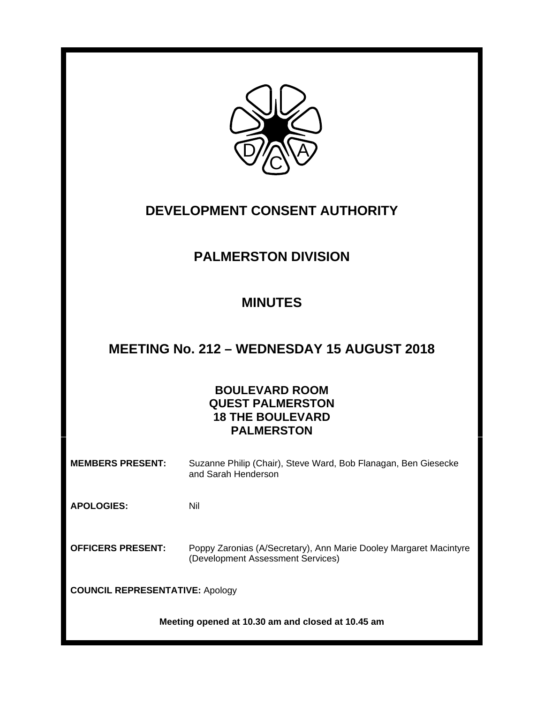

# **DEVELOPMENT CONSENT AUTHORITY**

# **PALMERSTON DIVISION**

# **MINUTES**

## **MEETING No. 212 – WEDNESDAY 15 AUGUST 2018**

## **BOULEVARD ROOM QUEST PALMERSTON 18 THE BOULEVARD PALMERSTON**

**MEMBERS PRESENT:** Suzanne Philip (Chair), Steve Ward, Bob Flanagan, Ben Giesecke and Sarah Henderson

**APOLOGIES:** Nil

**OFFICERS PRESENT:** Poppy Zaronias (A/Secretary), Ann Marie Dooley Margaret Macintyre (Development Assessment Services)

**COUNCIL REPRESENTATIVE:** Apology

**Meeting opened at 10.30 am and closed at 10.45 am**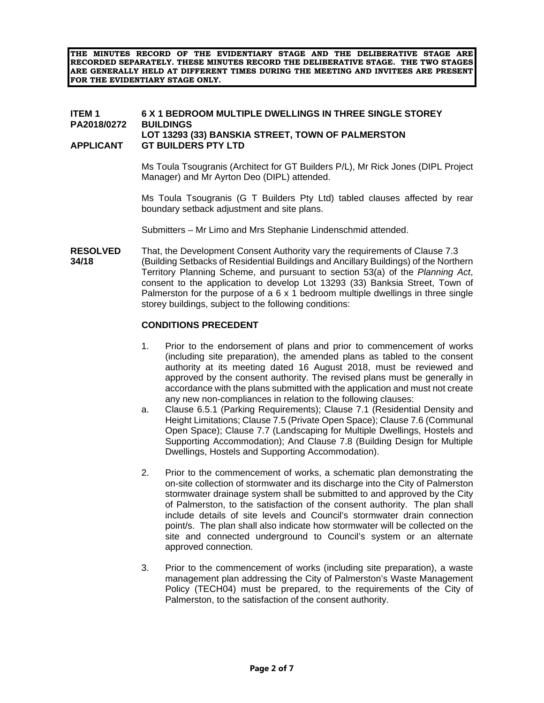**THE MINUTES RECORD OF THE EVIDENTIARY STAGE AND THE DELIBERATIVE STAGE ARE RECORDED SEPARATELY. THESE MINUTES RECORD THE DELIBERATIVE STAGE. THE TWO STAGES ARE GENERALLY HELD AT DIFFERENT TIMES DURING THE MEETING AND INVITEES ARE PRESENT FOR THE EVIDENTIARY STAGE ONLY.** 

#### **ITEM 1 6 X 1 BEDROOM MULTIPLE DWELLINGS IN THREE SINGLE STOREY PA2018/0272 BUILDINGS LOT 13293 (33) BANSKIA STREET, TOWN OF PALMERSTON APPLICANT GT BUILDERS PTY LTD**

Ms Toula Tsougranis (Architect for GT Builders P/L), Mr Rick Jones (DIPL Project Manager) and Mr Ayrton Deo (DIPL) attended.

Ms Toula Tsougranis (G T Builders Pty Ltd) tabled clauses affected by rear boundary setback adjustment and site plans.

Submitters – Mr Limo and Mrs Stephanie Lindenschmid attended.

**RESOLVED** That, the Development Consent Authority vary the requirements of Clause 7.3 **34/18** (Building Setbacks of Residential Buildings and Ancillary Buildings) of the Northern Territory Planning Scheme, and pursuant to section 53(a) of the *Planning Act*, consent to the application to develop Lot 13293 (33) Banksia Street, Town of Palmerston for the purpose of a 6 x 1 bedroom multiple dwellings in three single storey buildings, subject to the following conditions:

#### **CONDITIONS PRECEDENT**

- 1. Prior to the endorsement of plans and prior to commencement of works (including site preparation), the amended plans as tabled to the consent authority at its meeting dated 16 August 2018, must be reviewed and approved by the consent authority. The revised plans must be generally in accordance with the plans submitted with the application and must not create any new non-compliances in relation to the following clauses:
- a. Clause 6.5.1 (Parking Requirements); Clause 7.1 (Residential Density and Height Limitations; Clause 7.5 (Private Open Space); Clause 7.6 (Communal Open Space); Clause 7.7 (Landscaping for Multiple Dwellings, Hostels and Supporting Accommodation); And Clause 7.8 (Building Design for Multiple Dwellings, Hostels and Supporting Accommodation).
- 2. Prior to the commencement of works, a schematic plan demonstrating the on-site collection of stormwater and its discharge into the City of Palmerston stormwater drainage system shall be submitted to and approved by the City of Palmerston, to the satisfaction of the consent authority. The plan shall include details of site levels and Council's stormwater drain connection point/s. The plan shall also indicate how stormwater will be collected on the site and connected underground to Council's system or an alternate approved connection.
- 3. Prior to the commencement of works (including site preparation), a waste management plan addressing the City of Palmerston's Waste Management Policy (TECH04) must be prepared, to the requirements of the City of Palmerston, to the satisfaction of the consent authority.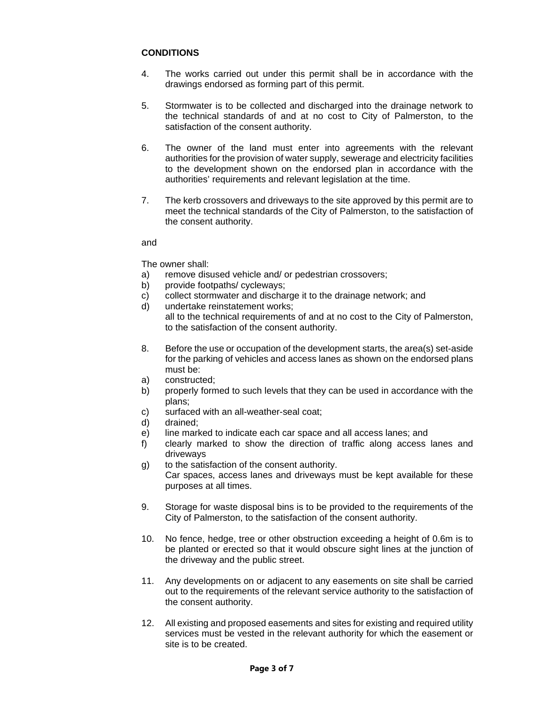### **CONDITIONS**

- 4. The works carried out under this permit shall be in accordance with the drawings endorsed as forming part of this permit.
- 5. Stormwater is to be collected and discharged into the drainage network to the technical standards of and at no cost to City of Palmerston, to the satisfaction of the consent authority.
- 6. The owner of the land must enter into agreements with the relevant authorities for the provision of water supply, sewerage and electricity facilities to the development shown on the endorsed plan in accordance with the authorities' requirements and relevant legislation at the time.
- 7. The kerb crossovers and driveways to the site approved by this permit are to meet the technical standards of the City of Palmerston, to the satisfaction of the consent authority.

#### and

### The owner shall:

- a) remove disused vehicle and/ or pedestrian crossovers;
- b) provide footpaths/ cycleways;
- c) collect stormwater and discharge it to the drainage network; and
- d) undertake reinstatement works; all to the technical requirements of and at no cost to the City of Palmerston, to the satisfaction of the consent authority.
- 8. Before the use or occupation of the development starts, the area(s) set-aside for the parking of vehicles and access lanes as shown on the endorsed plans must be:
- a) constructed;
- b) properly formed to such levels that they can be used in accordance with the plans;
- c) surfaced with an all-weather-seal coat;
- d) drained;
- e) line marked to indicate each car space and all access lanes; and
- f) clearly marked to show the direction of traffic along access lanes and driveways
- g) to the satisfaction of the consent authority. Car spaces, access lanes and driveways must be kept available for these purposes at all times.
- 9. Storage for waste disposal bins is to be provided to the requirements of the City of Palmerston, to the satisfaction of the consent authority.
- 10. No fence, hedge, tree or other obstruction exceeding a height of 0.6m is to be planted or erected so that it would obscure sight lines at the junction of the driveway and the public street.
- 11. Any developments on or adjacent to any easements on site shall be carried out to the requirements of the relevant service authority to the satisfaction of the consent authority.
- 12. All existing and proposed easements and sites for existing and required utility services must be vested in the relevant authority for which the easement or site is to be created.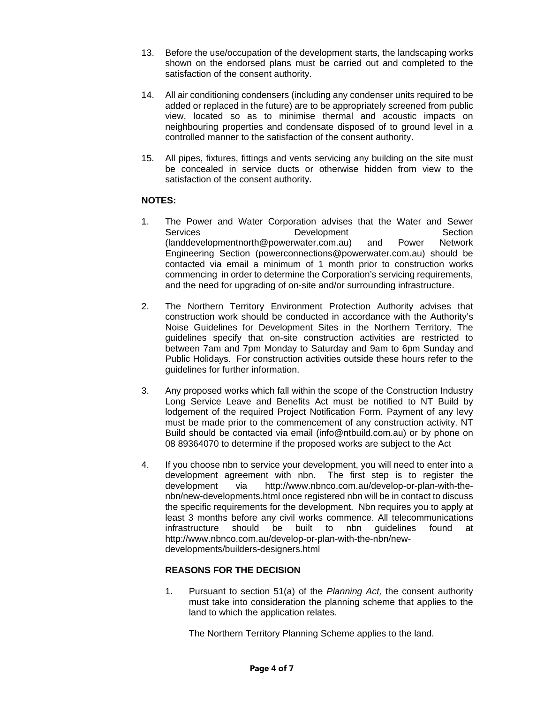- 13. Before the use/occupation of the development starts, the landscaping works shown on the endorsed plans must be carried out and completed to the satisfaction of the consent authority.
- 14. All air conditioning condensers (including any condenser units required to be added or replaced in the future) are to be appropriately screened from public view, located so as to minimise thermal and acoustic impacts on neighbouring properties and condensate disposed of to ground level in a controlled manner to the satisfaction of the consent authority.
- 15. All pipes, fixtures, fittings and vents servicing any building on the site must be concealed in service ducts or otherwise hidden from view to the satisfaction of the consent authority.

### **NOTES:**

- 1. The Power and Water Corporation advises that the Water and Sewer Services **Development** Development Section (landdevelopmentnorth@powerwater.com.au) and Power Network Engineering Section (powerconnections@powerwater.com.au) should be contacted via email a minimum of 1 month prior to construction works commencing in order to determine the Corporation's servicing requirements, and the need for upgrading of on-site and/or surrounding infrastructure.
- 2. The Northern Territory Environment Protection Authority advises that construction work should be conducted in accordance with the Authority's Noise Guidelines for Development Sites in the Northern Territory. The guidelines specify that on-site construction activities are restricted to between 7am and 7pm Monday to Saturday and 9am to 6pm Sunday and Public Holidays. For construction activities outside these hours refer to the guidelines for further information.
- 3. Any proposed works which fall within the scope of the Construction Industry Long Service Leave and Benefits Act must be notified to NT Build by lodgement of the required Project Notification Form. Payment of any levy must be made prior to the commencement of any construction activity. NT Build should be contacted via email (info@ntbuild.com.au) or by phone on 08 89364070 to determine if the proposed works are subject to the Act
- 4. If you choose nbn to service your development, you will need to enter into a development agreement with nbn. The first step is to register the development via http://www.nbnco.com.au/develop-or-plan-with-thenbn/new-developments.html once registered nbn will be in contact to discuss the specific requirements for the development. Nbn requires you to apply at least 3 months before any civil works commence. All telecommunications infrastructure should be built to nbn guidelines found at http://www.nbnco.com.au/develop-or-plan-with-the-nbn/newdevelopments/builders-designers.html

### **REASONS FOR THE DECISION**

1. Pursuant to section 51(a) of the *Planning Act,* the consent authority must take into consideration the planning scheme that applies to the land to which the application relates.

The Northern Territory Planning Scheme applies to the land.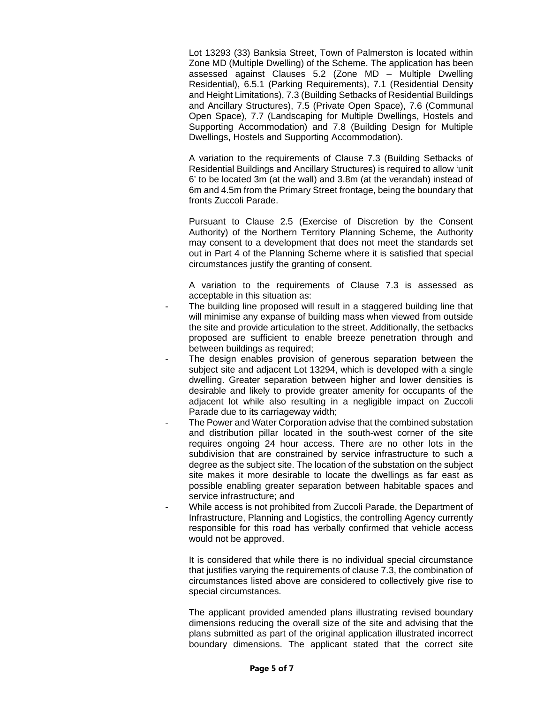Lot 13293 (33) Banksia Street, Town of Palmerston is located within Zone MD (Multiple Dwelling) of the Scheme. The application has been assessed against Clauses 5.2 (Zone MD – Multiple Dwelling Residential), 6.5.1 (Parking Requirements), 7.1 (Residential Density and Height Limitations), 7.3 (Building Setbacks of Residential Buildings and Ancillary Structures), 7.5 (Private Open Space), 7.6 (Communal Open Space), 7.7 (Landscaping for Multiple Dwellings, Hostels and Supporting Accommodation) and 7.8 (Building Design for Multiple Dwellings, Hostels and Supporting Accommodation).

 A variation to the requirements of Clause 7.3 (Building Setbacks of Residential Buildings and Ancillary Structures) is required to allow 'unit 6' to be located 3m (at the wall) and 3.8m (at the verandah) instead of 6m and 4.5m from the Primary Street frontage, being the boundary that fronts Zuccoli Parade.

 Pursuant to Clause 2.5 (Exercise of Discretion by the Consent Authority) of the Northern Territory Planning Scheme, the Authority may consent to a development that does not meet the standards set out in Part 4 of the Planning Scheme where it is satisfied that special circumstances justify the granting of consent.

 A variation to the requirements of Clause 7.3 is assessed as acceptable in this situation as:

- The building line proposed will result in a staggered building line that will minimise any expanse of building mass when viewed from outside the site and provide articulation to the street. Additionally, the setbacks proposed are sufficient to enable breeze penetration through and between buildings as required;
- The design enables provision of generous separation between the subject site and adjacent Lot 13294, which is developed with a single dwelling. Greater separation between higher and lower densities is desirable and likely to provide greater amenity for occupants of the adjacent lot while also resulting in a negligible impact on Zuccoli Parade due to its carriageway width;
- The Power and Water Corporation advise that the combined substation and distribution pillar located in the south-west corner of the site requires ongoing 24 hour access. There are no other lots in the subdivision that are constrained by service infrastructure to such a degree as the subject site. The location of the substation on the subject site makes it more desirable to locate the dwellings as far east as possible enabling greater separation between habitable spaces and service infrastructure; and
- While access is not prohibited from Zuccoli Parade, the Department of Infrastructure, Planning and Logistics, the controlling Agency currently responsible for this road has verbally confirmed that vehicle access would not be approved.

 It is considered that while there is no individual special circumstance that justifies varying the requirements of clause 7.3, the combination of circumstances listed above are considered to collectively give rise to special circumstances.

 The applicant provided amended plans illustrating revised boundary dimensions reducing the overall size of the site and advising that the plans submitted as part of the original application illustrated incorrect boundary dimensions. The applicant stated that the correct site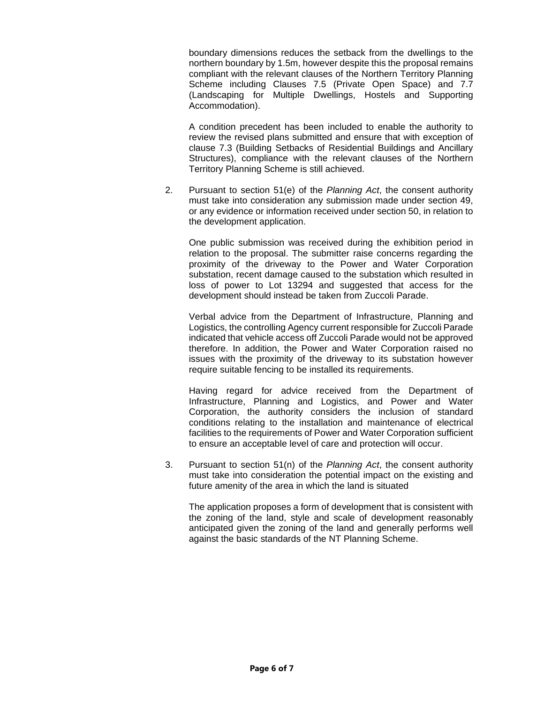boundary dimensions reduces the setback from the dwellings to the northern boundary by 1.5m, however despite this the proposal remains compliant with the relevant clauses of the Northern Territory Planning Scheme including Clauses 7.5 (Private Open Space) and 7.7 (Landscaping for Multiple Dwellings, Hostels and Supporting Accommodation).

 A condition precedent has been included to enable the authority to review the revised plans submitted and ensure that with exception of clause 7.3 (Building Setbacks of Residential Buildings and Ancillary Structures), compliance with the relevant clauses of the Northern Territory Planning Scheme is still achieved.

2. Pursuant to section 51(e) of the *Planning Act*, the consent authority must take into consideration any submission made under section 49, or any evidence or information received under section 50, in relation to the development application.

 One public submission was received during the exhibition period in relation to the proposal. The submitter raise concerns regarding the proximity of the driveway to the Power and Water Corporation substation, recent damage caused to the substation which resulted in loss of power to Lot 13294 and suggested that access for the development should instead be taken from Zuccoli Parade.

 Verbal advice from the Department of Infrastructure, Planning and Logistics, the controlling Agency current responsible for Zuccoli Parade indicated that vehicle access off Zuccoli Parade would not be approved therefore. In addition, the Power and Water Corporation raised no issues with the proximity of the driveway to its substation however require suitable fencing to be installed its requirements.

 Having regard for advice received from the Department of Infrastructure, Planning and Logistics, and Power and Water Corporation, the authority considers the inclusion of standard conditions relating to the installation and maintenance of electrical facilities to the requirements of Power and Water Corporation sufficient to ensure an acceptable level of care and protection will occur.

3. Pursuant to section 51(n) of the *Planning Act*, the consent authority must take into consideration the potential impact on the existing and future amenity of the area in which the land is situated

 The application proposes a form of development that is consistent with the zoning of the land, style and scale of development reasonably anticipated given the zoning of the land and generally performs well against the basic standards of the NT Planning Scheme.